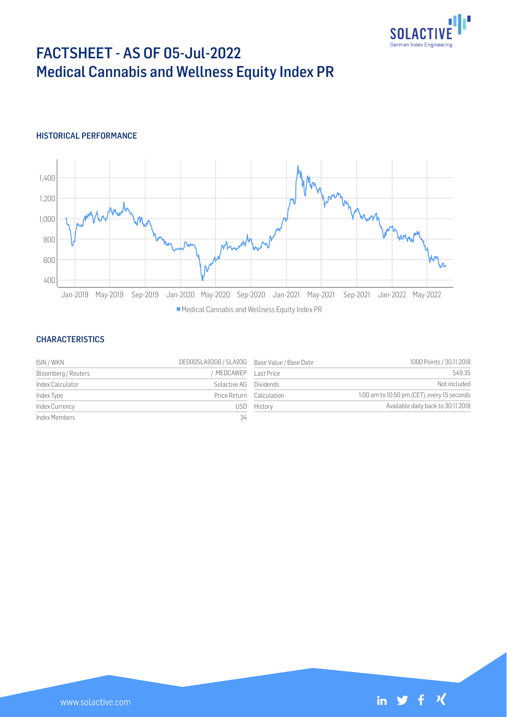

# FACTSHEET - AS OF 05-Jul-2022 Medical Cannabis and Wellness Equity Index PR

## HISTORICAL PERFORMANCE



#### **CHARACTERISTICS**

| ISIN / WKN          | DE000SLA93G6 / SLA93G Base Value / Base Date |             | 1000 Points / 30.11.2018                    |
|---------------------|----------------------------------------------|-------------|---------------------------------------------|
| Bloomberg / Reuters | MEDCAWEP Last Price                          |             | 549.35                                      |
| Index Calculator    | Solactive AG Dividends                       |             | Not included                                |
| Index Type          | Price Return Calculation                     |             | 1:00 am to 10:50 pm (CET), every 15 seconds |
| Index Currency      |                                              | USD History | Available daily back to 30.11.2018          |
| Index Members       | 34                                           |             |                                             |

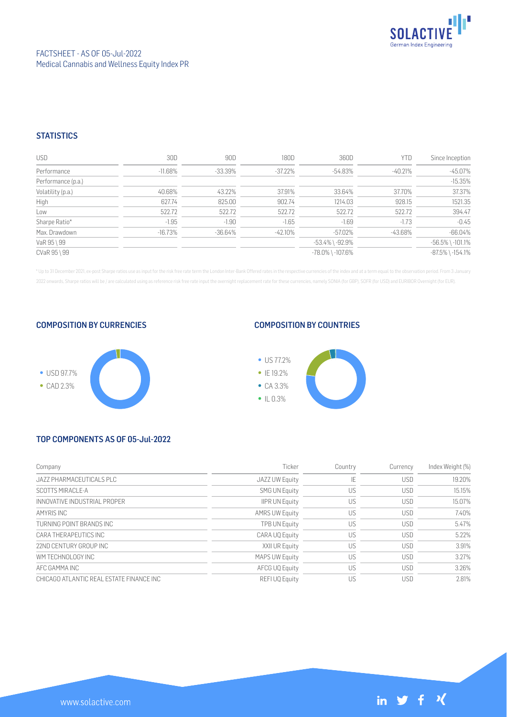

## **STATISTICS**

| <b>USD</b>         | 30D        | 90D        | 180D       | 360D                   | <b>YTD</b> | Since Inception        |
|--------------------|------------|------------|------------|------------------------|------------|------------------------|
| Performance        | $-11.68\%$ | -33.39%    | $-37.22\%$ | -54.83%                | -40.21%    | $-45.07%$              |
| Performance (p.a.) |            |            |            |                        |            | $-15.35%$              |
| Volatility (p.a.)  | 40.68%     | 43.22%     | 37.91%     | 33.64%                 | 37.70%     | 37.37%                 |
| High               | 627.74     | 825.00     | 902.74     | 1214.03                | 928.15     | 1521.35                |
| Low                | 522.72     | 522.72     | 522.72     | 522.72                 | 522.72     | 394.47                 |
| Sharpe Ratio*      | $-1.95$    | $-1.90$    | $-1.65$    | $-1.69$                | $-1.73$    | $-0.45$                |
| Max. Drawdown      | $-16.73%$  | $-36.64\%$ | $-42.10\%$ | -57.02%                | -43.68%    | $-66.04%$              |
| VaR 95 \ 99        |            |            |            | $-53.4\%$ \ $-92.9\%$  |            | $-56.5\%$ \ $-101.1\%$ |
| CVaR 95 \ 99       |            |            |            | $-78.0\%$ \ $-107.6\%$ |            | $-87.5\%$ \ $-154.1\%$ |

\* Up to 31 December 2021, ex-post Sharpe ratios use as input for the risk free rate term the London Inter-Bank Offered rates in the respective currencies of the index and at a term equal to the observation period. From 3 J 2022 onwards, Sharpe ratios will be / are calculated using as reference risk free rate input the overnight replacement rate for these currencies, namely SONIA (for GBP), SOFR (for USD) and EURIBOR Overnight (for EUR).

#### COMPOSITION BY CURRENCIES



#### COMPOSITION BY COUNTRIES



# TOP COMPONENTS AS OF 05-Jul-2022

| Company                                   | Ticker                | Country | Currency   | Index Weight (%) |
|-------------------------------------------|-----------------------|---------|------------|------------------|
| JAZZ PHARMACEUTICALS PLC                  | JAZZ UW Equity        | IE      | <b>USD</b> | 19.20%           |
| SCOTTS MIRACLE-A                          | <b>SMG UN Equity</b>  | US      | <b>USD</b> | 15.15%           |
| INNOVATIVE INDUSTRIAL PROPER              | <b>IIPR UN Equity</b> | US      | <b>USD</b> | 15.07%           |
| AMYRIS INC                                | <b>AMRS UW Equity</b> | US      | <b>USD</b> | 7.40%            |
| TURNING POINT BRANDS INC                  | <b>TPB UN Equity</b>  | US      | <b>USD</b> | 5.47%            |
| CARA THERAPEUTICS INC                     | CARA UQ Equity        | US      | <b>USD</b> | 5.22%            |
| 22ND CENTURY GROUP INC                    | XXII UR Equity        | US      | <b>USD</b> | 3.91%            |
| WM TECHNOLOGY INC                         | <b>MAPS UW Equity</b> | US      | <b>USD</b> | 3.27%            |
| AFC GAMMA INC                             | AFCG UQ Equity        | US      | <b>USD</b> | 3.26%            |
| CHICAGO ATI ANTIC REAL ESTATE FINANCE INC | REFI UQ Equity        | US      | USD        | 2.81%            |